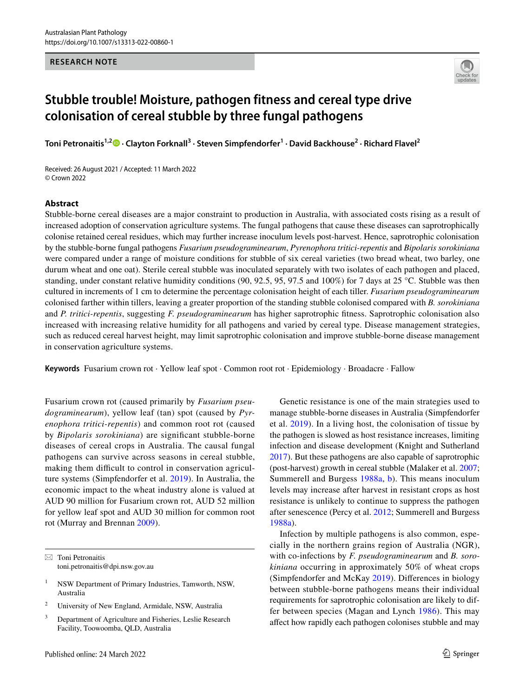#### **RESEARCH NOTE**



# **Stubble trouble! Moisture, pathogen fitness and cereal type drive colonisation of cereal stubble by three fungal pathogens**

**Toni Petronaitis1,2 · Clayton Forknall3 · Steven Simpfendorfer1 · David Backhouse2 · Richard Flavel2**

Received: 26 August 2021 / Accepted: 11 March 2022 © Crown 2022

### **Abstract**

Stubble-borne cereal diseases are a major constraint to production in Australia, with associated costs rising as a result of increased adoption of conservation agriculture systems. The fungal pathogens that cause these diseases can saprotrophically colonise retained cereal residues, which may further increase inoculum levels post-harvest. Hence, saprotrophic colonisation by the stubble-borne fungal pathogens *Fusarium pseudograminearum*, *Pyrenophora tritici-repentis* and *Bipolaris sorokiniana* were compared under a range of moisture conditions for stubble of six cereal varieties (two bread wheat, two barley, one durum wheat and one oat). Sterile cereal stubble was inoculated separately with two isolates of each pathogen and placed, standing, under constant relative humidity conditions (90, 92.5, 95, 97.5 and 100%) for 7 days at 25 °C. Stubble was then cultured in increments of 1 cm to determine the percentage colonisation height of each tiller. *Fusarium pseudograminearum* colonised farther within tillers, leaving a greater proportion of the standing stubble colonised compared with *B. sorokiniana* and *P. tritici-repentis*, suggesting *F. pseudograminearum* has higher saprotrophic fitness. Saprotrophic colonisation also increased with increasing relative humidity for all pathogens and varied by cereal type. Disease management strategies, such as reduced cereal harvest height, may limit saprotrophic colonisation and improve stubble-borne disease management in conservation agriculture systems.

**Keywords** Fusarium crown rot · Yellow leaf spot · Common root rot · Epidemiology · Broadacre · Fallow

Fusarium crown rot (caused primarily by *Fusarium pseudograminearum*), yellow leaf (tan) spot (caused by *Pyrenophora tritici-repentis*) and common root rot (caused by *Bipolaris sorokiniana*) are signifcant stubble-borne diseases of cereal crops in Australia. The causal fungal pathogens can survive across seasons in cereal stubble, making them difficult to control in conservation agriculture systems (Simpfendorfer et al. [2019\)](#page-5-0). In Australia, the economic impact to the wheat industry alone is valued at AUD 90 million for Fusarium crown rot, AUD 52 million for yellow leaf spot and AUD 30 million for common root rot (Murray and Brennan [2009\)](#page-4-0).

- <sup>2</sup> University of New England, Armidale, NSW, Australia
- <sup>3</sup> Department of Agriculture and Fisheries, Leslie Research Facility, Toowoomba, QLD, Australia

Genetic resistance is one of the main strategies used to manage stubble-borne diseases in Australia (Simpfendorfer et al. [2019\)](#page-5-0). In a living host, the colonisation of tissue by the pathogen is slowed as host resistance increases, limiting infection and disease development (Knight and Sutherland [2017](#page-4-1)). But these pathogens are also capable of saprotrophic (post-harvest) growth in cereal stubble (Malaker et al. [2007](#page-4-2); Summerell and Burgess [1988a,](#page-5-1) [b](#page-5-2)). This means inoculum levels may increase after harvest in resistant crops as host resistance is unlikely to continue to suppress the pathogen after senescence (Percy et al. [2012](#page-4-3); Summerell and Burgess [1988a\)](#page-5-1).

Infection by multiple pathogens is also common, especially in the northern grains region of Australia (NGR), with co-infections by *F. pseudograminearum* and *B. sorokiniana* occurring in approximately 50% of wheat crops (Simpfendorfer and McKay [2019](#page-4-4)). Diferences in biology between stubble-borne pathogens means their individual requirements for saprotrophic colonisation are likely to differ between species (Magan and Lynch [1986\)](#page-4-5). This may afect how rapidly each pathogen colonises stubble and may

 $\boxtimes$  Toni Petronaitis toni.petronaitis@dpi.nsw.gov.au

<sup>&</sup>lt;sup>1</sup> NSW Department of Primary Industries, Tamworth, NSW, Australia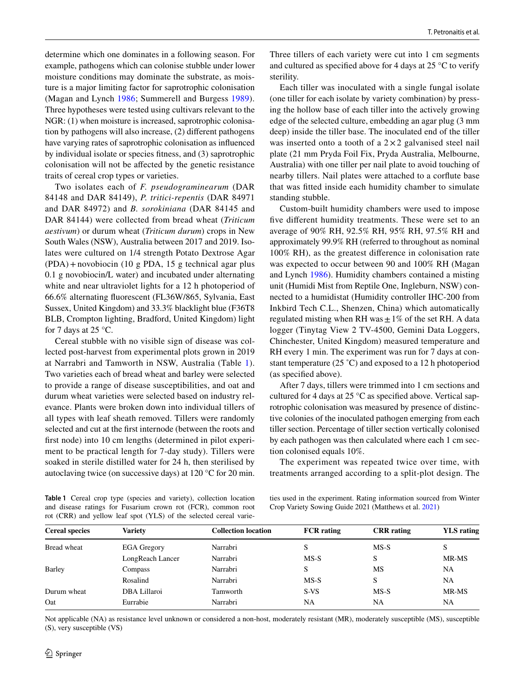determine which one dominates in a following season. For example, pathogens which can colonise stubble under lower moisture conditions may dominate the substrate, as moisture is a major limiting factor for saprotrophic colonisation (Magan and Lynch [1986;](#page-4-5) Summerell and Burgess [1989\)](#page-5-3). Three hypotheses were tested using cultivars relevant to the NGR: (1) when moisture is increased, saprotrophic colonisation by pathogens will also increase, (2) diferent pathogens have varying rates of saprotrophic colonisation as infuenced by individual isolate or species ftness, and (3) saprotrophic colonisation will not be afected by the genetic resistance traits of cereal crop types or varieties.

Two isolates each of *F. pseudograminearum* (DAR 84148 and DAR 84149), *P. tritici-repentis* (DAR 84971 and DAR 84972) and *B. sorokiniana* (DAR 84145 and DAR 84144) were collected from bread wheat (*Triticum aestivum*) or durum wheat (*Triticum durum*) crops in New South Wales (NSW), Australia between 2017 and 2019. Isolates were cultured on 1/4 strength Potato Dextrose Agar (PDA)+novobiocin (10 g PDA, 15 g technical agar plus 0.1 g novobiocin/L water) and incubated under alternating white and near ultraviolet lights for a 12 h photoperiod of 66.6% alternating fuorescent (FL36W/865, Sylvania, East Sussex, United Kingdom) and 33.3% blacklight blue (F36T8 BLB, Crompton lighting, Bradford, United Kingdom) light for 7 days at 25 °C.

Cereal stubble with no visible sign of disease was collected post-harvest from experimental plots grown in 2019 at Narrabri and Tamworth in NSW, Australia (Table [1](#page-1-0)). Two varieties each of bread wheat and barley were selected to provide a range of disease susceptibilities, and oat and durum wheat varieties were selected based on industry relevance. Plants were broken down into individual tillers of all types with leaf sheath removed. Tillers were randomly selected and cut at the frst internode (between the roots and frst node) into 10 cm lengths (determined in pilot experiment to be practical length for 7-day study). Tillers were soaked in sterile distilled water for 24 h, then sterilised by autoclaving twice (on successive days) at 120 °C for 20 min.

Three tillers of each variety were cut into 1 cm segments and cultured as specifed above for 4 days at 25 °C to verify sterility.

Each tiller was inoculated with a single fungal isolate (one tiller for each isolate by variety combination) by pressing the hollow base of each tiller into the actively growing edge of the selected culture, embedding an agar plug (3 mm deep) inside the tiller base. The inoculated end of the tiller was inserted onto a tooth of a  $2 \times 2$  galvanised steel nail plate (21 mm Pryda Foil Fix, Pryda Australia, Melbourne, Australia) with one tiller per nail plate to avoid touching of nearby tillers. Nail plates were attached to a corfute base that was ftted inside each humidity chamber to simulate standing stubble.

Custom-built humidity chambers were used to impose five different humidity treatments. These were set to an average of 90% RH, 92.5% RH, 95% RH, 97.5% RH and approximately 99.9% RH (referred to throughout as nominal 100% RH), as the greatest diference in colonisation rate was expected to occur between 90 and 100% RH (Magan and Lynch [1986](#page-4-5)). Humidity chambers contained a misting unit (Humidi Mist from Reptile One, Ingleburn, NSW) connected to a humidistat (Humidity controller IHC-200 from Inkbird Tech C.L., Shenzen, China) which automatically regulated misting when RH was  $\pm 1\%$  of the set RH. A data logger (Tinytag View 2 TV-4500, Gemini Data Loggers, Chinchester, United Kingdom) measured temperature and RH every 1 min. The experiment was run for 7 days at constant temperature (25 ˚C) and exposed to a 12 h photoperiod (as specifed above).

After 7 days, tillers were trimmed into 1 cm sections and cultured for 4 days at 25 °C as specifed above. Vertical saprotrophic colonisation was measured by presence of distinctive colonies of the inoculated pathogen emerging from each tiller section. Percentage of tiller section vertically colonised by each pathogen was then calculated where each 1 cm section colonised equals 10%.

The experiment was repeated twice over time, with treatments arranged according to a split-plot design. The

<span id="page-1-0"></span>**Table 1** Cereal crop type (species and variety), collection location and disease ratings for Fusarium crown rot (FCR), common root rot (CRR) and yellow leaf spot (YLS) of the selected cereal varie-

ties used in the experiment. Rating information sourced from Winter Crop Variety Sowing Guide 2021 (Matthews et al. [2021\)](#page-4-6)

| <b>Cereal species</b> | Variety            | <b>Collection location</b> | <b>FCR</b> rating | <b>CRR</b> rating | <b>YLS</b> rating |
|-----------------------|--------------------|----------------------------|-------------------|-------------------|-------------------|
| Bread wheat           | <b>EGA</b> Gregory | Narrabri                   |                   | $MS-S$            | S                 |
|                       | LongReach Lancer   | Narrabri                   | $MS-S$            | S                 | MR-MS             |
| <b>Barley</b>         | Compass            | Narrabri                   | S                 | MS                | <b>NA</b>         |
|                       | Rosalind           | Narrabri                   | $MS-S$            | S                 | <b>NA</b>         |
| Durum wheat           | DBA Lillaroi       | Tamworth                   | S-VS              | $MS-S$            | MR-MS             |
| Oat                   | Eurrabie           | Narrabri                   | NA                | NA                | NA.               |

Not applicable (NA) as resistance level unknown or considered a non-host, moderately resistant (MR), moderately susceptible (MS), susceptible (S), very susceptible (VS)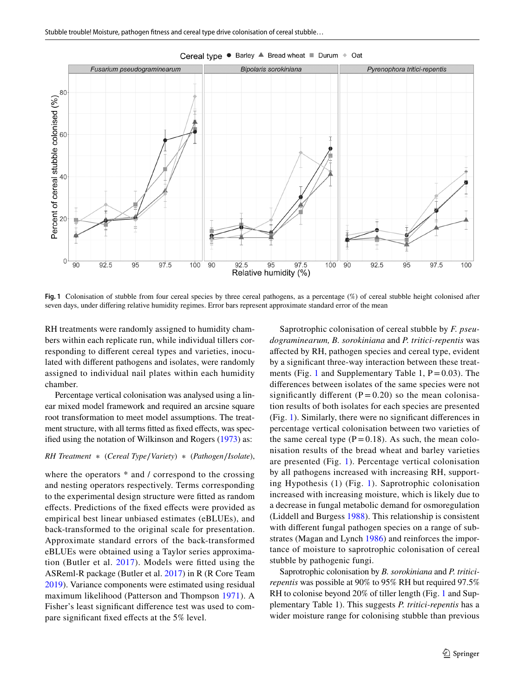

Cereal type . Barley A Bread wheat Durum + Oat

<span id="page-2-0"></span>**Fig. 1** Colonisation of stubble from four cereal species by three cereal pathogens, as a percentage (%) of cereal stubble height colonised after seven days, under difering relative humidity regimes. Error bars represent approximate standard error of the mean

RH treatments were randomly assigned to humidity chambers within each replicate run, while individual tillers corresponding to diferent cereal types and varieties, inoculated with diferent pathogens and isolates, were randomly assigned to individual nail plates within each humidity chamber.

Percentage vertical colonisation was analysed using a linear mixed model framework and required an arcsine square root transformation to meet model assumptions. The treatment structure, with all terms fitted as fixed effects, was specifed using the notation of Wilkinson and Rogers ([1973\)](#page-5-4) as:

#### *RH Treatment* ∗ (*Cereal Type*∕*Variety*)∗(*Pathogen*∕*Isolate*),

where the operators  $*$  and / correspond to the crossing and nesting operators respectively. Terms corresponding to the experimental design structure were ftted as random efects. Predictions of the fxed efects were provided as empirical best linear unbiased estimates (eBLUEs), and back-transformed to the original scale for presentation. Approximate standard errors of the back-transformed eBLUEs were obtained using a Taylor series approximation (Butler et al. [2017](#page-4-7)). Models were ftted using the ASReml-R package (Butler et al. [2017](#page-4-7)) in R (R Core Team [2019](#page-4-8)). Variance components were estimated using residual maximum likelihood (Patterson and Thompson [1971\)](#page-4-9). A Fisher's least signifcant diference test was used to compare signifcant fxed efects at the 5% level.

Saprotrophic colonisation of cereal stubble by *F. pseudograminearum, B. sorokiniana* and *P. tritici-repentis* was afected by RH, pathogen species and cereal type, evident by a signifcant three-way interaction between these treat-ments (Fig. [1](#page-2-0) and Supplementary Table 1,  $P = 0.03$ ). The diferences between isolates of the same species were not significantly different  $(P = 0.20)$  so the mean colonisation results of both isolates for each species are presented (Fig. [1\)](#page-2-0). Similarly, there were no signifcant diferences in percentage vertical colonisation between two varieties of the same cereal type  $(P=0.18)$ . As such, the mean colonisation results of the bread wheat and barley varieties are presented (Fig. [1](#page-2-0)). Percentage vertical colonisation by all pathogens increased with increasing RH, supporting Hypothesis (1) (Fig. [1\)](#page-2-0). Saprotrophic colonisation increased with increasing moisture, which is likely due to a decrease in fungal metabolic demand for osmoregulation (Liddell and Burgess [1988](#page-4-10)). This relationship is consistent with diferent fungal pathogen species on a range of substrates (Magan and Lynch [1986](#page-4-5)) and reinforces the importance of moisture to saprotrophic colonisation of cereal stubble by pathogenic fungi.

Saprotrophic colonisation by *B. sorokiniana* and *P. triticirepentis* was possible at 90% to 95% RH but required 97.5% RH to colonise beyond 20% of tiller length (Fig. [1](#page-2-0) and Supplementary Table 1). This suggests *P. tritici-repentis* has a wider moisture range for colonising stubble than previous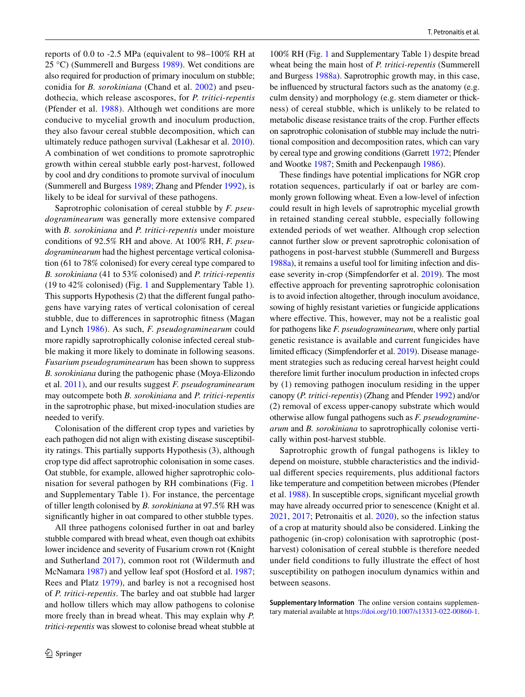reports of 0.0 to -2.5 MPa (equivalent to 98–100% RH at 25 °C) (Summerell and Burgess [1989](#page-5-3)). Wet conditions are also required for production of primary inoculum on stubble; conidia for *B. sorokiniana* (Chand et al. [2002](#page-4-11)) and pseudothecia, which release ascospores, for *P. tritici-repentis* (Pfender et al. [1988](#page-4-12)). Although wet conditions are more conducive to mycelial growth and inoculum production, they also favour cereal stubble decomposition, which can ultimately reduce pathogen survival (Lakhesar et al. [2010](#page-4-13)). A combination of wet conditions to promote saprotrophic growth within cereal stubble early post-harvest, followed by cool and dry conditions to promote survival of inoculum (Summerell and Burgess [1989;](#page-5-3) Zhang and Pfender [1992](#page-5-5)), is likely to be ideal for survival of these pathogens.

Saprotrophic colonisation of cereal stubble by *F. pseudograminearum* was generally more extensive compared with *B. sorokiniana* and *P. tritici-repentis* under moisture conditions of 92.5% RH and above. At 100% RH, *F. pseudograminearum* had the highest percentage vertical colonisation (61 to 78% colonised) for every cereal type compared to *B. sorokiniana* (41 to 53% colonised) and *P. tritici-repentis* (19 to 42% colonised) (Fig. [1](#page-2-0) and Supplementary Table 1)*.* This supports Hypothesis (2) that the diferent fungal pathogens have varying rates of vertical colonisation of cereal stubble, due to diferences in saprotrophic ftness (Magan and Lynch [1986\)](#page-4-5). As such, *F. pseudograminearum* could more rapidly saprotrophically colonise infected cereal stubble making it more likely to dominate in following seasons. *Fusarium pseudograminearum* has been shown to suppress *B. sorokiniana* during the pathogenic phase (Moya-Elizondo et al. [2011](#page-4-14)), and our results suggest *F. pseudograminearum* may outcompete both *B. sorokiniana* and *P. tritici-repentis* in the saprotrophic phase, but mixed-inoculation studies are needed to verify.

Colonisation of the diferent crop types and varieties by each pathogen did not align with existing disease susceptibility ratings. This partially supports Hypothesis (3), although crop type did afect saprotrophic colonisation in some cases. Oat stubble, for example, allowed higher saprotrophic colonisation for several pathogen by RH combinations (Fig. [1](#page-2-0) and Supplementary Table 1). For instance, the percentage of tiller length colonised by *B. sorokiniana* at 97.5% RH was signifcantly higher in oat compared to other stubble types.

All three pathogens colonised further in oat and barley stubble compared with bread wheat, even though oat exhibits lower incidence and severity of Fusarium crown rot (Knight and Sutherland [2017\)](#page-4-1), common root rot (Wildermuth and McNamara [1987](#page-5-6)) and yellow leaf spot (Hosford et al. [1987](#page-4-15); Rees and Platz [1979\)](#page-4-16), and barley is not a recognised host of *P. tritici-repentis*. The barley and oat stubble had larger and hollow tillers which may allow pathogens to colonise more freely than in bread wheat. This may explain why *P. tritici-repentis* was slowest to colonise bread wheat stubble at

100% RH (Fig. [1](#page-2-0) and Supplementary Table 1) despite bread wheat being the main host of *P. tritici-repentis* (Summerell and Burgess [1988a](#page-5-1)). Saprotrophic growth may, in this case, be infuenced by structural factors such as the anatomy (e.g. culm density) and morphology (e.g. stem diameter or thickness) of cereal stubble, which is unlikely to be related to metabolic disease resistance traits of the crop. Further effects on saprotrophic colonisation of stubble may include the nutritional composition and decomposition rates, which can vary by cereal type and growing conditions (Garrett [1972](#page-4-17); Pfender and Wootke [1987](#page-4-18); Smith and Peckenpaugh [1986\)](#page-5-7).

These fndings have potential implications for NGR crop rotation sequences, particularly if oat or barley are commonly grown following wheat. Even a low-level of infection could result in high levels of saprotrophic mycelial growth in retained standing cereal stubble, especially following extended periods of wet weather. Although crop selection cannot further slow or prevent saprotrophic colonisation of pathogens in post-harvest stubble (Summerell and Burgess [1988a](#page-5-1)), it remains a useful tool for limiting infection and disease severity in-crop (Simpfendorfer et al. [2019](#page-5-0)). The most efective approach for preventing saprotrophic colonisation is to avoid infection altogether, through inoculum avoidance, sowing of highly resistant varieties or fungicide applications where effective. This, however, may not be a realistic goal for pathogens like *F. pseudograminearum*, where only partial genetic resistance is available and current fungicides have limited efficacy (Simpfendorfer et al. [2019](#page-5-0)). Disease management strategies such as reducing cereal harvest height could therefore limit further inoculum production in infected crops by (1) removing pathogen inoculum residing in the upper canopy (*P. tritici-repentis*) (Zhang and Pfender [1992](#page-5-5)) and/or (2) removal of excess upper-canopy substrate which would otherwise allow fungal pathogens such as *F. pseudograminearum* and *B. sorokiniana* to saprotrophically colonise vertically within post-harvest stubble.

Saprotrophic growth of fungal pathogens is likley to depend on moisture, stubble characteristics and the individual diferent species requirements, plus additional factors like temperature and competition between microbes (Pfender et al. [1988\)](#page-4-12). In susceptible crops, signifcant mycelial growth may have already occurred prior to senescence (Knight et al. [2021](#page-4-19), [2017](#page-4-20); Petronaitis et al. [2020\)](#page-4-21), so the infection status of a crop at maturity should also be considered. Linking the pathogenic (in-crop) colonisation with saprotrophic (postharvest) colonisation of cereal stubble is therefore needed under feld conditions to fully illustrate the efect of host susceptibility on pathogen inoculum dynamics within and between seasons.

**Supplementary Information** The online version contains supplementary material available at<https://doi.org/10.1007/s13313-022-00860-1>.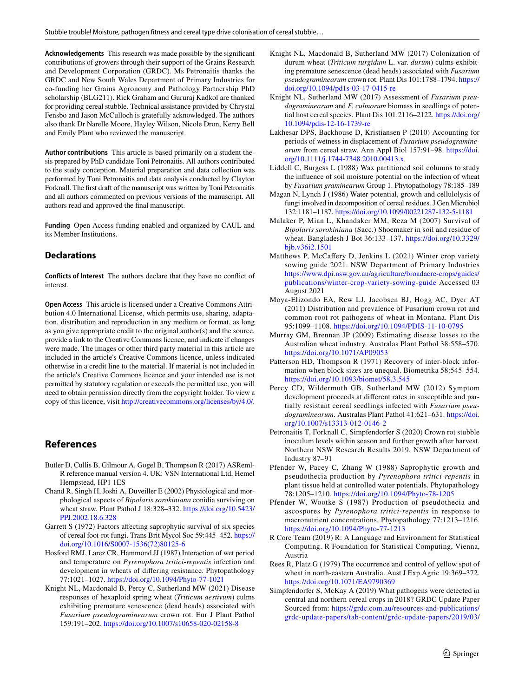**Acknowledgements** This research was made possible by the signifcant contributions of growers through their support of the Grains Research and Development Corporation (GRDC). Ms Petronaitis thanks the GRDC and New South Wales Department of Primary Industries for co-funding her Grains Agronomy and Pathology Partnership PhD scholarship (BLG211). Rick Graham and Gururaj Kadkol are thanked for providing cereal stubble. Technical assistance provided by Chrystal Fensbo and Jason McCulloch is gratefully acknowledged. The authors also thank Dr Narelle Moore, Hayley Wilson, Nicole Dron, Kerry Bell and Emily Plant who reviewed the manuscript.

**Author contributions** This article is based primarily on a student thesis prepared by PhD candidate Toni Petronaitis. All authors contributed to the study conception. Material preparation and data collection was performed by Toni Petronaitis and data analysis conducted by Clayton Forknall. The frst draft of the manuscript was written by Toni Petronaitis and all authors commented on previous versions of the manuscript. All authors read and approved the fnal manuscript.

**Funding** Open Access funding enabled and organized by CAUL and its Member Institutions.

## **Declarations**

**Conflicts of Interest** The authors declare that they have no confict of interest.

**Open Access** This article is licensed under a Creative Commons Attribution 4.0 International License, which permits use, sharing, adaptation, distribution and reproduction in any medium or format, as long as you give appropriate credit to the original author(s) and the source, provide a link to the Creative Commons licence, and indicate if changes were made. The images or other third party material in this article are included in the article's Creative Commons licence, unless indicated otherwise in a credit line to the material. If material is not included in the article's Creative Commons licence and your intended use is not permitted by statutory regulation or exceeds the permitted use, you will need to obtain permission directly from the copyright holder. To view a copy of this licence, visit <http://creativecommons.org/licenses/by/4.0/>.

## **References**

- <span id="page-4-7"></span>Butler D, Cullis B, Gilmour A, Gogel B, Thompson R (2017) ASReml-R reference manual version 4. UK: VSN International Ltd, Hemel Hempstead, HP1 1ES
- <span id="page-4-11"></span>Chand R, Singh H, Joshi A, Duveiller E (2002) Physiological and morphological aspects of *Bipolaris sorokiniana* conidia surviving on wheat straw. Plant Pathol J 18:328–332. [https://doi.org/10.5423/](https://doi.org/10.5423/PPJ.2002.18.6.328) [PPJ.2002.18.6.328](https://doi.org/10.5423/PPJ.2002.18.6.328)
- <span id="page-4-17"></span>Garrett S (1972) Factors affecting saprophytic survival of six species of cereal foot-rot fungi. Trans Brit Mycol Soc 59:445–452. [https://](https://doi.org/10.1016/S0007-1536(72)80125-6) [doi.org/10.1016/S0007-1536\(72\)80125-6](https://doi.org/10.1016/S0007-1536(72)80125-6)
- <span id="page-4-15"></span>Hosford RMJ, Larez CR, Hammond JJ (1987) Interaction of wet period and temperature on *Pyrenophora tritici-repentis* infection and development in wheats of difering resistance. Phytopathology 77:1021–1027. <https://doi.org/10.1094/Phyto-77-1021>
- <span id="page-4-19"></span>Knight NL, Macdonald B, Percy C, Sutherland MW (2021) Disease responses of hexaploid spring wheat (*Triticum aestivum*) culms exhibiting premature senescence (dead heads) associated with *Fusarium pseudograminearum* crown rot. Eur J Plant Pathol 159:191–202. <https://doi.org/10.1007/s10658-020-02158-8>
- <span id="page-4-20"></span>Knight NL, Macdonald B, Sutherland MW (2017) Colonization of durum wheat (*Triticum turgidum* L. var. *durum*) culms exhibiting premature senescence (dead heads) associated with *Fusarium pseudograminearum* crown rot. Plant Dis 101:1788–1794. [https://](https://doi.org/10.1094/pd1s-03-17-0415-re) [doi.org/10.1094/pd1s-03-17-0415-re](https://doi.org/10.1094/pd1s-03-17-0415-re)
- <span id="page-4-1"></span>Knight NL, Sutherland MW (2017) Assessment of *Fusarium pseudograminearum* and *F. culmorum* biomass in seedlings of potential host cereal species. Plant Dis 101:2116–2122. [https://doi.org/](https://doi.org/10.1094/pdis-12-16-1739-re) [10.1094/pdis-12-16-1739-re](https://doi.org/10.1094/pdis-12-16-1739-re)
- <span id="page-4-13"></span>Lakhesar DPS, Backhouse D, Kristiansen P (2010) Accounting for periods of wetness in displacement of *Fusarium pseudograminearum* from cereal straw. Ann Appl Biol 157:91–98. [https://doi.](https://doi.org/10.1111/j.1744-7348.2010.00413.x) [org/10.1111/j.1744-7348.2010.00413.x](https://doi.org/10.1111/j.1744-7348.2010.00413.x)
- <span id="page-4-10"></span>Liddell C, Burgess L (1988) Wax partitioned soil columns to study the infuence of soil moisture potential on the infection of wheat by *Fusarium graminearum* Group 1. Phytopathology 78:185–189
- <span id="page-4-5"></span>Magan N, Lynch J (1986) Water potential, growth and cellulolysis of fungi involved in decomposition of cereal residues. J Gen Microbiol 132:1181–1187. <https://doi.org/10.1099/00221287-132-5-1181>
- <span id="page-4-2"></span>Malaker P, Mian L, Khandaker MM, Reza M (2007) Survival of *Bipolaris sorokiniana* (Sacc.) Shoemaker in soil and residue of wheat. Bangladesh J Bot 36:133–137. [https://doi.org/10.3329/](https://doi.org/10.3329/bjb.v36i2.1501) [bjb.v36i2.1501](https://doi.org/10.3329/bjb.v36i2.1501)
- <span id="page-4-6"></span>Matthews P, McCaffery D, Jenkins L (2021) Winter crop variety sowing guide 2021. NSW Department of Primary Industries [https://www.dpi.nsw.gov.au/agriculture/broadacre-crops/guides/](https://www.dpi.nsw.gov.au/agriculture/broadacre-crops/guides/publications/winter-crop-variety-sowing-guide) [publications/winter-crop-variety-sowing-guide](https://www.dpi.nsw.gov.au/agriculture/broadacre-crops/guides/publications/winter-crop-variety-sowing-guide) Accessed 03 August 2021
- <span id="page-4-14"></span>Moya-Elizondo EA, Rew LJ, Jacobsen BJ, Hogg AC, Dyer AT (2011) Distribution and prevalence of Fusarium crown rot and common root rot pathogens of wheat in Montana. Plant Dis 95:1099–1108. <https://doi.org/10.1094/PDIS-11-10-0795>
- <span id="page-4-0"></span>Murray GM, Brennan JP (2009) Estimating disease losses to the Australian wheat industry. Australas Plant Pathol 38:558–570. <https://doi.org/10.1071/AP09053>
- <span id="page-4-9"></span>Patterson HD, Thompson R (1971) Recovery of inter-block information when block sizes are unequal. Biometrika 58:545–554. <https://doi.org/10.1093/biomet/58.3.545>
- <span id="page-4-3"></span>Percy CD, Wildermuth GB, Sutherland MW (2012) Symptom development proceeds at diferent rates in susceptible and partially resistant cereal seedlings infected with *Fusarium pseudograminearum*. Australas Plant Pathol 41:621–631. [https://doi.](https://doi.org/10.1007/s13313-012-0146-2) [org/10.1007/s13313-012-0146-2](https://doi.org/10.1007/s13313-012-0146-2)
- <span id="page-4-21"></span>Petronaitis T, Forknall C, Simpfendorfer S (2020) Crown rot stubble inoculum levels within season and further growth after harvest. Northern NSW Research Results 2019, NSW Department of Industry 87–91
- <span id="page-4-12"></span>Pfender W, Pacey C, Zhang W (1988) Saprophytic growth and pseudothecia production by *Pyrenophora tritici-repentis* in plant tissue held at controlled water potentials. Phytopathology 78:1205–1210. <https://doi.org/10.1094/Phyto-78-1205>
- <span id="page-4-18"></span>Pfender W, Wootke S (1987) Production of pseudothecia and ascospores by *Pyrenophora tritici-repentis* in response to macronutrient concentrations. Phytopathology 77:1213–1216. <https://doi.org/10.1094/Phyto-77-1213>
- <span id="page-4-8"></span>R Core Team (2019) R: A Language and Environment for Statistical Computing. R Foundation for Statistical Computing, Vienna, Austria
- <span id="page-4-16"></span>Rees R, Platz G (1979) The occurrence and control of yellow spot of wheat in north-eastern Australia. Aust J Exp Agric 19:369–372. <https://doi.org/10.1071/EA9790369>
- <span id="page-4-4"></span>Simpfendorfer S, McKay A (2019) What pathogens were detected in central and northern cereal crops in 2018? GRDC Update Paper Sourced from: [https://grdc.com.au/resources-and-publications/](https://grdc.com.au/resources-and-publications/grdc-update-papers/tab-content/grdc-update-papers/2019/03/what-pathogens-were-detected-in-central-and-northern-cereal-crops-in-2018) [grdc-update-papers/tab-content/grdc-update-papers/2019/03/](https://grdc.com.au/resources-and-publications/grdc-update-papers/tab-content/grdc-update-papers/2019/03/what-pathogens-were-detected-in-central-and-northern-cereal-crops-in-2018)